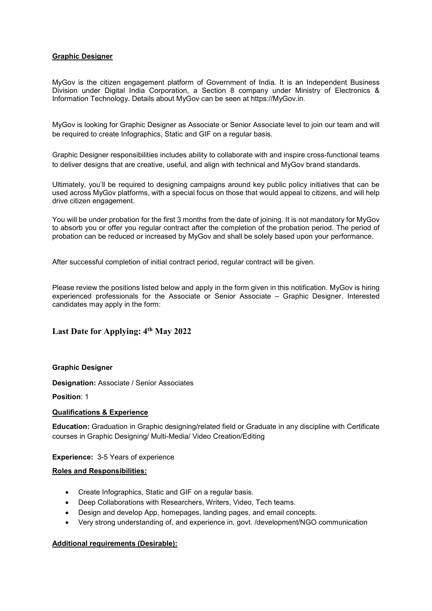## Graphic Designer

MyGov is the citizen engagement platform of Government of India. It is an Independent Business Division under Digital India Corporation, a Section 8 company under Ministry of Electronics & Information Technology. Details about MyGov can be seen at https://MyGov.in.

MyGov is looking for Graphic Designer as Associate or Senior Associate level to join our team and will be required to create Infographics, Static and GIF on a regular basis.

Graphic Designer responsibilities includes ability to collaborate with and inspire cross-functional teams to deliver designs that are creative, useful, and align with technical and MyGov brand standards.

Ultimately, you'll be required to designing campaigns around key public policy initiatives that can be used across MyGov platforms, with a special focus on those that would appeal to citizens, and will help drive citizen engagement.

You will be under probation for the first 3 months from the date of joining. It is not mandatory for MyGov to absorb you or offer you regular contract after the completion of the probation period. The period of probation can be reduced or increased by MyGov and shall be solely based upon your performance.

After successful completion of initial contract period, regular contract will be given.

Please review the positions listed below and apply in the form given in this notification. MyGov is hiring experienced professionals for the Associate or Senior Associate – Graphic Designer. Interested candidates may apply in the form:

# Last Date for Applying: 4<sup>th</sup> May 2022

### Graphic Designer

Designation: Associate / Senior Associates

Position: 1

### Qualifications & Experience

Education: Graduation in Graphic designing/related field or Graduate in any discipline with Certificate courses in Graphic Designing/ Multi-Media/ Video Creation/Editing

#### Experience: 3-5 Years of experience

#### Roles and Responsibilities:

- Create Infographics, Static and GIF on a regular basis.
- Deep Collaborations with Researchers, Writers, Video, Tech teams.
- Design and develop App, homepages, landing pages, and email concepts.
- Very strong understanding of, and experience in, govt. /development/NGO communication

### Additional requirements (Desirable):